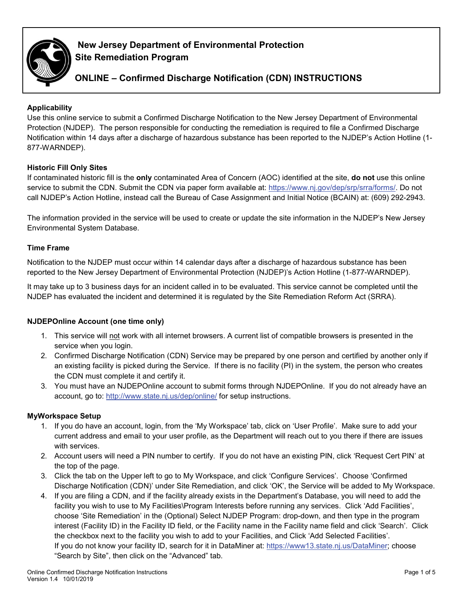

# **New Jersey Department of Environmental Protection Site Remediation Program**

# **ONLINE – Confirmed Discharge Notification (CDN) INSTRUCTIONS**

# **Applicability**

Use this online service to submit a Confirmed Discharge Notification to the New Jersey Department of Environmental Protection (NJDEP). The person responsible for conducting the remediation is required to file a Confirmed Discharge Notification within 14 days after a discharge of hazardous substance has been reported to the NJDEP's Action Hotline (1- 877-WARNDEP).

# **Historic Fill Only Sites**

If contaminated historic fill is the **only** contaminated Area of Concern (AOC) identified at the site, **do not** use this online service to submit the CDN. Submit the CDN via paper form available at: [https://www.nj.gov/dep/srp/srra/forms/.](https://www.nj.gov/dep/srp/srra/forms/) Do not call NJDEP's Action Hotline, instead call the Bureau of Case Assignment and Initial Notice (BCAIN) at: (609) 292-2943.

The information provided in the service will be used to create or update the site information in the NJDEP's New Jersey Environmental System Database.

### **Time Frame**

Notification to the NJDEP must occur within 14 calendar days after a discharge of hazardous substance has been reported to the New Jersey Department of Environmental Protection (NJDEP)'s Action Hotline (1-877-WARNDEP).

It may take up to 3 business days for an incident called in to be evaluated. This service cannot be completed until the NJDEP has evaluated the incident and determined it is regulated by the Site Remediation Reform Act (SRRA).

### **NJDEPOnline Account (one time only)**

- 1. This service will not work with all internet browsers. A current list of compatible browsers is presented in the service when you login.
- 2. Confirmed Discharge Notification (CDN) Service may be prepared by one person and certified by another only if an existing facility is picked during the Service. If there is no facility (PI) in the system, the person who creates the CDN must complete it and certify it.
- 3. You must have an NJDEPOnline account to submit forms through NJDEPOnline. If you do not already have an account, go to:<http://www.state.nj.us/dep/online/> for setup instructions.

### **MyWorkspace Setup**

- 1. If you do have an account, login, from the 'My Workspace' tab, click on 'User Profile'. Make sure to add your current address and email to your user profile, as the Department will reach out to you there if there are issues with services.
- 2. Account users will need a PIN number to certify. If you do not have an existing PIN, click 'Request Cert PIN' at the top of the page.
- 3. Click the tab on the Upper left to go to My Workspace, and click 'Configure Services'. Choose 'Confirmed Discharge Notification (CDN)' under Site Remediation, and click 'OK', the Service will be added to My Workspace.
- 4. If you are filing a CDN, and if the facility already exists in the Department's Database, you will need to add the facility you wish to use to My Facilities\Program Interests before running any services. Click 'Add Facilities', choose 'Site Remediation' in the (Optional) Select NJDEP Program: drop-down, and then type in the program interest (Facility ID) in the Facility ID field, or the Facility name in the Facility name field and click 'Search'. Click the checkbox next to the facility you wish to add to your Facilities, and Click 'Add Selected Facilities'. If you do not know your facility ID, search for it in DataMiner at: [https://www13.state.nj.us/DataMiner;](https://www13.state.nj.us/DataMiner) choose "Search by Site", then click on the "Advanced" tab.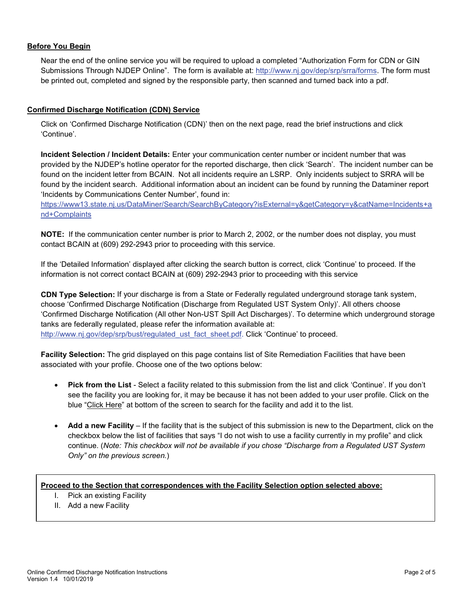# **Before You Begin**

Near the end of the online service you will be required to upload a completed "Authorization Form for CDN or GIN Submissions Through NJDEP Online". The form is available at: [http://www.nj.gov/dep/srp/srra/forms.](http://www.nj.gov/dep/srp/srra/forms) The form must be printed out, completed and signed by the responsible party, then scanned and turned back into a pdf.

### **Confirmed Discharge Notification (CDN) Service**

Click on 'Confirmed Discharge Notification (CDN)' then on the next page, read the brief instructions and click 'Continue'.

**Incident Selection / Incident Details:** Enter your communication center number or incident number that was provided by the NJDEP's hotline operator for the reported discharge, then click 'Search'. The incident number can be found on the incident letter from BCAIN. Not all incidents require an LSRP. Only incidents subject to SRRA will be found by the incident search. Additional information about an incident can be found by running the Dataminer report 'Incidents by Communications Center Number', found in:

[https://www13.state.nj.us/DataMiner/Search/SearchByCategory?isExternal=y&getCategory=y&catName=Incidents+a](https://www13.state.nj.us/DataMiner/Search/SearchByCategory?isExternal=y&getCategory=y&catName=Incidents+and+Complaints) [nd+Complaints](https://www13.state.nj.us/DataMiner/Search/SearchByCategory?isExternal=y&getCategory=y&catName=Incidents+and+Complaints)

**NOTE:** If the communication center number is prior to March 2, 2002, or the number does not display, you must contact BCAIN at (609) 292-2943 prior to proceeding with this service.

If the 'Detailed Information' displayed after clicking the search button is correct, click 'Continue' to proceed. If the information is not correct contact BCAIN at (609) 292-2943 prior to proceeding with this service

**CDN Type Selection:** If your discharge is from a State or Federally regulated underground storage tank system, choose 'Confirmed Discharge Notification (Discharge from Regulated UST System Only)'. All others choose 'Confirmed Discharge Notification (All other Non-UST Spill Act Discharges)'. To determine which underground storage tanks are federally regulated, please refer the information available at: [http://www.nj.gov/dep/srp/bust/regulated\\_ust\\_fact\\_sheet.pdf.](http://www.nj.gov/dep/srp/bust/regulated_ust_fact_sheet.pdf) Click 'Continue' to proceed.

**Facility Selection:** The grid displayed on this page contains list of Site Remediation Facilities that have been associated with your profile. Choose one of the two options below:

- **Pick from the List** Select a facility related to this submission from the list and click 'Continue'. If you don't see the facility you are looking for, it may be because it has not been added to your user profile. Click on the blue "Click Here" at bottom of the screen to search for the facility and add it to the list.
- **Add a new Facility** If the facility that is the subject of this submission is new to the Department, click on the checkbox below the list of facilities that says "I do not wish to use a facility currently in my profile" and click continue. (*Note: This checkbox will not be available if you chose "Discharge from a Regulated UST System Only" on the previous screen.*)

# **Proceed to the Section that correspondences with the Facility Selection option selected above:**

- I. Pick an existing Facility
- II. Add a new Facility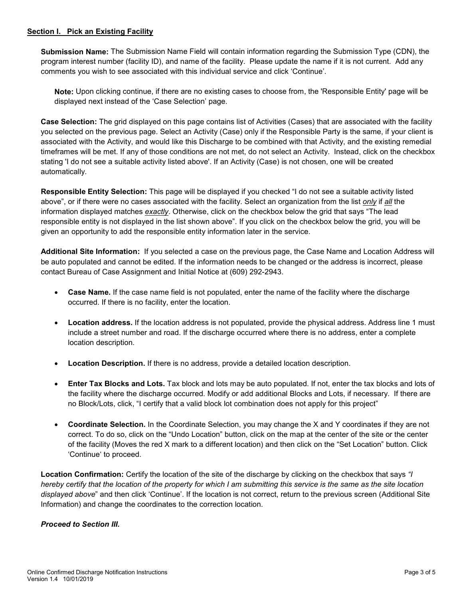### **Section I. Pick an Existing Facility**

**Submission Name:** The Submission Name Field will contain information regarding the Submission Type (CDN), the program interest number (facility ID), and name of the facility. Please update the name if it is not current. Add any comments you wish to see associated with this individual service and click 'Continue'.

**Note:** Upon clicking continue, if there are no existing cases to choose from, the 'Responsible Entity' page will be displayed next instead of the 'Case Selection' page.

**Case Selection:** The grid displayed on this page contains list of Activities (Cases) that are associated with the facility you selected on the previous page. Select an Activity (Case) only if the Responsible Party is the same, if your client is associated with the Activity, and would like this Discharge to be combined with that Activity, and the existing remedial timeframes will be met. If any of those conditions are not met, do not select an Activity. Instead, click on the checkbox stating 'I do not see a suitable activity listed above'. If an Activity (Case) is not chosen, one will be created automatically.

**Responsible Entity Selection:** This page will be displayed if you checked "I do not see a suitable activity listed above", or if there were no cases associated with the facility. Select an organization from the list *only* if *all* the information displayed matches *exactly*. Otherwise, click on the checkbox below the grid that says "The lead responsible entity is not displayed in the list shown above". If you click on the checkbox below the grid, you will be given an opportunity to add the responsible entity information later in the service.

**Additional Site Information:** If you selected a case on the previous page, the Case Name and Location Address will be auto populated and cannot be edited. If the information needs to be changed or the address is incorrect, please contact Bureau of Case Assignment and Initial Notice at (609) 292-2943.

- **Case Name.** If the case name field is not populated, enter the name of the facility where the discharge occurred. If there is no facility, enter the location.
- **Location address.** If the location address is not populated, provide the physical address. Address line 1 must include a street number and road. If the discharge occurred where there is no address, enter a complete location description.
- **Location Description.** If there is no address, provide a detailed location description.
- **Enter Tax Blocks and Lots.** Tax block and lots may be auto populated. If not, enter the tax blocks and lots of the facility where the discharge occurred. Modify or add additional Blocks and Lots, if necessary. If there are no Block/Lots, click, "I certify that a valid block lot combination does not apply for this project"
- **Coordinate Selection.** In the Coordinate Selection, you may change the X and Y coordinates if they are not correct. To do so, click on the "Undo Location" button, click on the map at the center of the site or the center of the facility (Moves the red X mark to a different location) and then click on the "Set Location" button. Click 'Continue' to proceed.

**Location Confirmation:** Certify the location of the site of the discharge by clicking on the checkbox that says *"I hereby certify that the location of the property for which I am submitting this service is the same as the site location displayed above*" and then click 'Continue'. If the location is not correct, return to the previous screen (Additional Site Information) and change the coordinates to the correction location.

#### *Proceed to Section III.*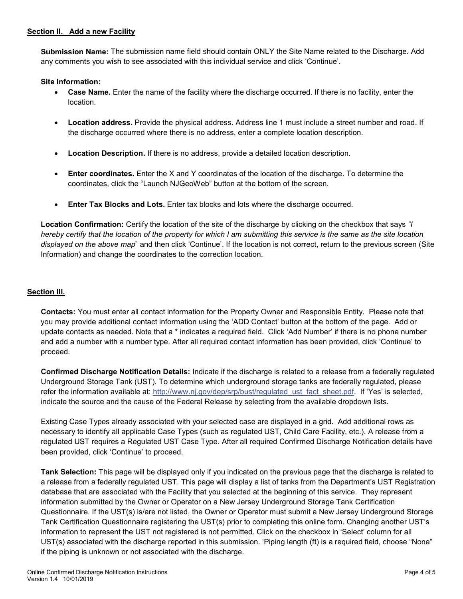### **Section II. Add a new Facility**

**Submission Name:** The submission name field should contain ONLY the Site Name related to the Discharge. Add any comments you wish to see associated with this individual service and click 'Continue'.

**Site Information:**

- **Case Name.** Enter the name of the facility where the discharge occurred. If there is no facility, enter the location.
- **Location address.** Provide the physical address. Address line 1 must include a street number and road. If the discharge occurred where there is no address, enter a complete location description.
- **Location Description.** If there is no address, provide a detailed location description.
- **Enter coordinates.** Enter the X and Y coordinates of the location of the discharge. To determine the coordinates, click the "Launch NJGeoWeb" button at the bottom of the screen.
- **Enter Tax Blocks and Lots.** Enter tax blocks and lots where the discharge occurred.

**Location Confirmation:** Certify the location of the site of the discharge by clicking on the checkbox that says *"I hereby certify that the location of the property for which I am submitting this service is the same as the site location displayed on the above map*" and then click 'Continue'. If the location is not correct, return to the previous screen (Site Information) and change the coordinates to the correction location.

# **Section III.**

**Contacts:** You must enter all contact information for the Property Owner and Responsible Entity. Please note that you may provide additional contact information using the 'ADD Contact' button at the bottom of the page. Add or update contacts as needed. Note that a \* indicates a required field. Click 'Add Number' if there is no phone number and add a number with a number type. After all required contact information has been provided, click 'Continue' to proceed.

**Confirmed Discharge Notification Details:** Indicate if the discharge is related to a release from a federally regulated Underground Storage Tank (UST). To determine which underground storage tanks are federally regulated, please refer the information available at: http://www.nj.gov/dep/srp/bust/regulated ust fact sheet.pdf. If 'Yes' is selected, indicate the source and the cause of the Federal Release by selecting from the available dropdown lists.

Existing Case Types already associated with your selected case are displayed in a grid. Add additional rows as necessary to identify all applicable Case Types (such as regulated UST, Child Care Facility, etc.). A release from a regulated UST requires a Regulated UST Case Type. After all required Confirmed Discharge Notification details have been provided, click 'Continue' to proceed.

**Tank Selection:** This page will be displayed only if you indicated on the previous page that the discharge is related to a release from a federally regulated UST. This page will display a list of tanks from the Department's UST Registration database that are associated with the Facility that you selected at the beginning of this service. They represent information submitted by the Owner or Operator on a New Jersey Underground Storage Tank Certification Questionnaire. If the UST(s) is/are not listed, the Owner or Operator must submit a New Jersey Underground Storage Tank Certification Questionnaire registering the UST(s) prior to completing this online form. Changing another UST's information to represent the UST not registered is not permitted. Click on the checkbox in 'Select' column for all UST(s) associated with the discharge reported in this submission. 'Piping length (ft) is a required field, choose "None" if the piping is unknown or not associated with the discharge.